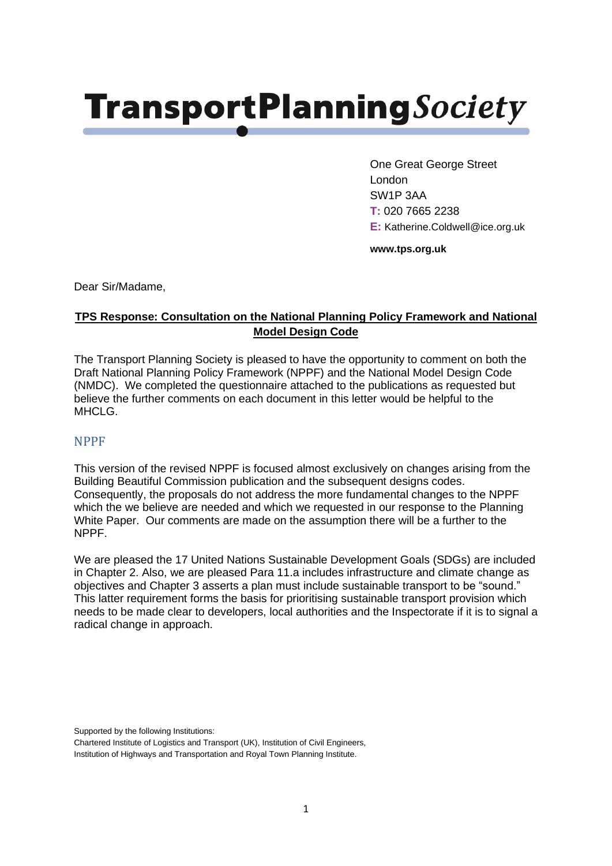## **TransportPlanningSociety**

One Great George Street London SW1P 3AA **T:** 020 7665 2238 **E:** Katherine.Coldwell@ice.org.uk

**www.tps.org.uk**

Dear Sir/Madame,

## **TPS Response: Consultation on the National Planning Policy Framework and National Model Design Code**

The Transport Planning Society is pleased to have the opportunity to comment on both the Draft National Planning Policy Framework (NPPF) and the National Model Design Code (NMDC). We completed the questionnaire attached to the publications as requested but believe the further comments on each document in this letter would be helpful to the MHCLG.

## NPPF

This version of the revised NPPF is focused almost exclusively on changes arising from the Building Beautiful Commission publication and the subsequent designs codes. Consequently, the proposals do not address the more fundamental changes to the NPPF which the we believe are needed and which we requested in our response to the Planning White Paper. Our comments are made on the assumption there will be a further to the NPPF.

We are pleased the 17 United Nations Sustainable Development Goals (SDGs) are included in Chapter 2. Also, we are pleased Para 11.a includes infrastructure and climate change as objectives and Chapter 3 asserts a plan must include sustainable transport to be "sound." This latter requirement forms the basis for prioritising sustainable transport provision which needs to be made clear to developers, local authorities and the Inspectorate if it is to signal a radical change in approach.

Supported by the following Institutions:

Chartered Institute of Logistics and Transport (UK), Institution of Civil Engineers, Institution of Highways and Transportation and Royal Town Planning Institute.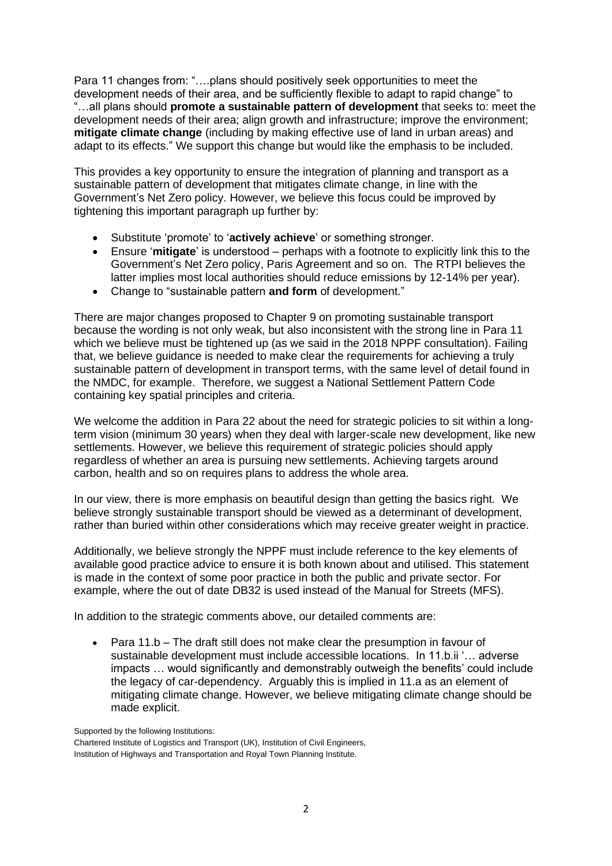Para 11 changes from: "….plans should positively seek opportunities to meet the development needs of their area, and be sufficiently flexible to adapt to rapid change" to "…all plans should **promote a sustainable pattern of development** that seeks to: meet the development needs of their area; align growth and infrastructure; improve the environment; **mitigate climate change** (including by making effective use of land in urban areas) and adapt to its effects." We support this change but would like the emphasis to be included.

This provides a key opportunity to ensure the integration of planning and transport as a sustainable pattern of development that mitigates climate change, in line with the Government's Net Zero policy. However, we believe this focus could be improved by tightening this important paragraph up further by:

- Substitute 'promote' to '**actively achieve**' or something stronger.
- Ensure '**mitigate**' is understood perhaps with a footnote to explicitly link this to the Government's Net Zero policy, Paris Agreement and so on. The RTPI believes the latter implies most local authorities should reduce emissions by 12-14% per year).
- Change to "sustainable pattern **and form** of development."

There are major changes proposed to Chapter 9 on promoting sustainable transport because the wording is not only weak, but also inconsistent with the strong line in Para 11 which we believe must be tightened up (as we said in the 2018 NPPF consultation). Failing that, we believe guidance is needed to make clear the requirements for achieving a truly sustainable pattern of development in transport terms, with the same level of detail found in the NMDC, for example. Therefore, we suggest a National Settlement Pattern Code containing key spatial principles and criteria.

We welcome the addition in Para 22 about the need for strategic policies to sit within a longterm vision (minimum 30 years) when they deal with larger-scale new development, like new settlements. However, we believe this requirement of strategic policies should apply regardless of whether an area is pursuing new settlements. Achieving targets around carbon, health and so on requires plans to address the whole area.

In our view, there is more emphasis on beautiful design than getting the basics right. We believe strongly sustainable transport should be viewed as a determinant of development, rather than buried within other considerations which may receive greater weight in practice.

Additionally, we believe strongly the NPPF must include reference to the key elements of available good practice advice to ensure it is both known about and utilised. This statement is made in the context of some poor practice in both the public and private sector. For example, where the out of date DB32 is used instead of the Manual for Streets (MFS).

In addition to the strategic comments above, our detailed comments are:

• Para 11.b – The draft still does not make clear the presumption in favour of sustainable development must include accessible locations. In 11.b.ii '… adverse impacts … would significantly and demonstrably outweigh the benefits' could include the legacy of car-dependency. Arguably this is implied in 11.a as an element of mitigating climate change. However, we believe mitigating climate change should be made explicit.

Supported by the following Institutions:

Chartered Institute of Logistics and Transport (UK), Institution of Civil Engineers,

Institution of Highways and Transportation and Royal Town Planning Institute.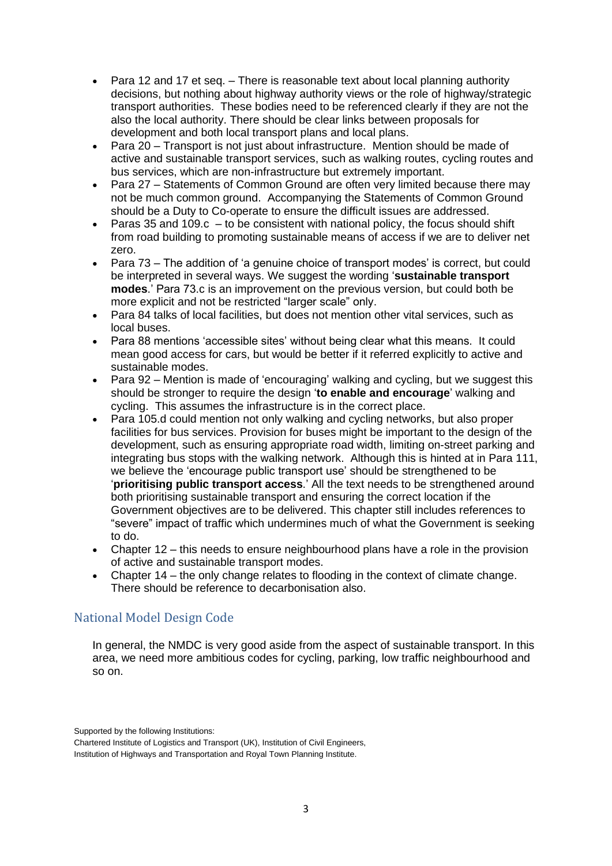- Para 12 and 17 et seq. There is reasonable text about local planning authority decisions, but nothing about highway authority views or the role of highway/strategic transport authorities. These bodies need to be referenced clearly if they are not the also the local authority. There should be clear links between proposals for development and both local transport plans and local plans.
- Para 20 Transport is not just about infrastructure. Mention should be made of active and sustainable transport services, such as walking routes, cycling routes and bus services, which are non-infrastructure but extremely important.
- Para 27 Statements of Common Ground are often very limited because there may not be much common ground. Accompanying the Statements of Common Ground should be a Duty to Co-operate to ensure the difficult issues are addressed.
- Paras 35 and 109. $c t$  be consistent with national policy, the focus should shift from road building to promoting sustainable means of access if we are to deliver net zero.
- Para 73 The addition of 'a genuine choice of transport modes' is correct, but could be interpreted in several ways. We suggest the wording '**sustainable transport modes**.' Para 73.c is an improvement on the previous version, but could both be more explicit and not be restricted "larger scale" only.
- Para 84 talks of local facilities, but does not mention other vital services, such as local buses.
- Para 88 mentions 'accessible sites' without being clear what this means. It could mean good access for cars, but would be better if it referred explicitly to active and sustainable modes.
- Para 92 Mention is made of 'encouraging' walking and cycling, but we suggest this should be stronger to require the design '**to enable and encourage**' walking and cycling. This assumes the infrastructure is in the correct place.
- Para 105.d could mention not only walking and cycling networks, but also proper facilities for bus services. Provision for buses might be important to the design of the development, such as ensuring appropriate road width, limiting on-street parking and integrating bus stops with the walking network. Although this is hinted at in Para 111, we believe the 'encourage public transport use' should be strengthened to be '**prioritising public transport access**.' All the text needs to be strengthened around both prioritising sustainable transport and ensuring the correct location if the Government objectives are to be delivered. This chapter still includes references to "severe" impact of traffic which undermines much of what the Government is seeking to do.
- Chapter 12 this needs to ensure neighbourhood plans have a role in the provision of active and sustainable transport modes.
- Chapter 14 the only change relates to flooding in the context of climate change. There should be reference to decarbonisation also.

## National Model Design Code

In general, the NMDC is very good aside from the aspect of sustainable transport. In this area, we need more ambitious codes for cycling, parking, low traffic neighbourhood and so on.

Supported by the following Institutions:

Chartered Institute of Logistics and Transport (UK), Institution of Civil Engineers,

Institution of Highways and Transportation and Royal Town Planning Institute.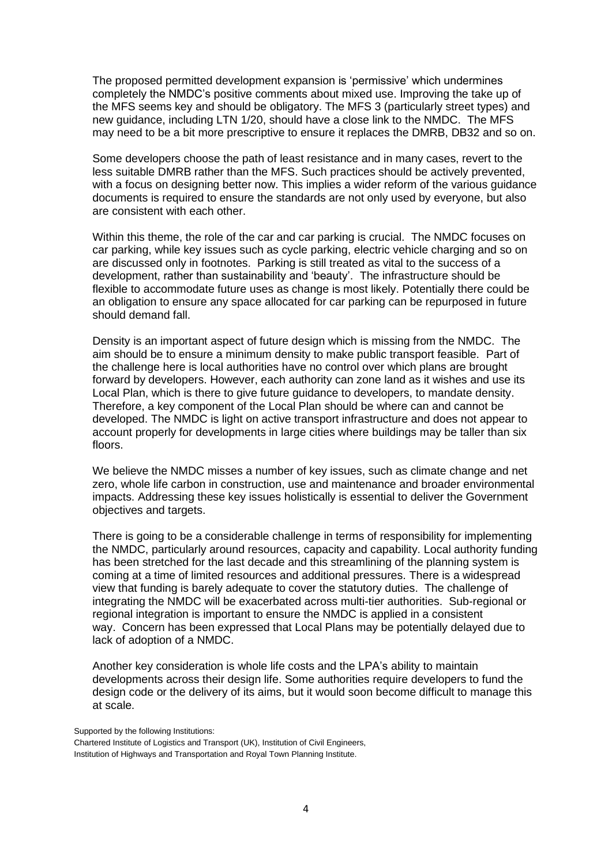The proposed permitted development expansion is 'permissive' which undermines completely the NMDC's positive comments about mixed use. Improving the take up of the MFS seems key and should be obligatory. The MFS 3 (particularly street types) and new guidance, including LTN 1/20, should have a close link to the NMDC. The MFS may need to be a bit more prescriptive to ensure it replaces the DMRB, DB32 and so on.

Some developers choose the path of least resistance and in many cases, revert to the less suitable DMRB rather than the MFS. Such practices should be actively prevented, with a focus on designing better now. This implies a wider reform of the various guidance documents is required to ensure the standards are not only used by everyone, but also are consistent with each other.

Within this theme, the role of the car and car parking is crucial. The NMDC focuses on car parking, while key issues such as cycle parking, electric vehicle charging and so on are discussed only in footnotes. Parking is still treated as vital to the success of a development, rather than sustainability and 'beauty'. The infrastructure should be flexible to accommodate future uses as change is most likely. Potentially there could be an obligation to ensure any space allocated for car parking can be repurposed in future should demand fall.

Density is an important aspect of future design which is missing from the NMDC. The aim should be to ensure a minimum density to make public transport feasible. Part of the challenge here is local authorities have no control over which plans are brought forward by developers. However, each authority can zone land as it wishes and use its Local Plan, which is there to give future guidance to developers, to mandate density. Therefore, a key component of the Local Plan should be where can and cannot be developed. The NMDC is light on active transport infrastructure and does not appear to account properly for developments in large cities where buildings may be taller than six floors.

We believe the NMDC misses a number of key issues, such as climate change and net zero, whole life carbon in construction, use and maintenance and broader environmental impacts. Addressing these key issues holistically is essential to deliver the Government objectives and targets.

There is going to be a considerable challenge in terms of responsibility for implementing the NMDC, particularly around resources, capacity and capability. Local authority funding has been stretched for the last decade and this streamlining of the planning system is coming at a time of limited resources and additional pressures. There is a widespread view that funding is barely adequate to cover the statutory duties. The challenge of integrating the NMDC will be exacerbated across multi-tier authorities. Sub-regional or regional integration is important to ensure the NMDC is applied in a consistent way. Concern has been expressed that Local Plans may be potentially delayed due to lack of adoption of a NMDC.

Another key consideration is whole life costs and the LPA's ability to maintain developments across their design life. Some authorities require developers to fund the design code or the delivery of its aims, but it would soon become difficult to manage this at scale.

Supported by the following Institutions:

Chartered Institute of Logistics and Transport (UK), Institution of Civil Engineers, Institution of Highways and Transportation and Royal Town Planning Institute.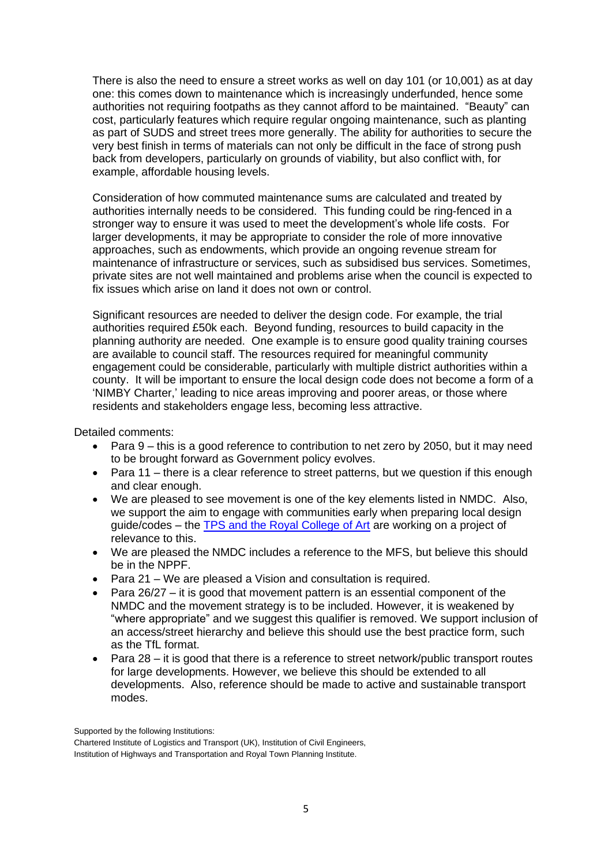There is also the need to ensure a street works as well on day 101 (or 10,001) as at day one: this comes down to maintenance which is increasingly underfunded, hence some authorities not requiring footpaths as they cannot afford to be maintained. "Beauty" can cost, particularly features which require regular ongoing maintenance, such as planting as part of SUDS and street trees more generally. The ability for authorities to secure the very best finish in terms of materials can not only be difficult in the face of strong push back from developers, particularly on grounds of viability, but also conflict with, for example, affordable housing levels.

Consideration of how commuted maintenance sums are calculated and treated by authorities internally needs to be considered. This funding could be ring-fenced in a stronger way to ensure it was used to meet the development's whole life costs. For larger developments, it may be appropriate to consider the role of more innovative approaches, such as endowments, which provide an ongoing revenue stream for maintenance of infrastructure or services, such as subsidised bus services. Sometimes, private sites are not well maintained and problems arise when the council is expected to fix issues which arise on land it does not own or control.

Significant resources are needed to deliver the design code. For example, the trial authorities required £50k each. Beyond funding, resources to build capacity in the planning authority are needed. One example is to ensure good quality training courses are available to council staff. The resources required for meaningful community engagement could be considerable, particularly with multiple district authorities within a county. It will be important to ensure the local design code does not become a form of a 'NIMBY Charter,' leading to nice areas improving and poorer areas, or those where residents and stakeholders engage less, becoming less attractive.

Detailed comments:

- Para 9 this is a good reference to contribution to net zero by 2050, but it may need to be brought forward as Government policy evolves.
- Para 11 there is a clear reference to street patterns, but we question if this enough and clear enough.
- We are pleased to see movement is one of the key elements listed in NMDC. Also, we support the aim to engage with communities early when preparing local design guide/codes – the TPS and the [Royal College of Art](https://www.rca.ac.uk/research-innovation/projects/our-future-towns-community-placemaking-and-transport-planning/) are working on a project of relevance to this.
- We are pleased the NMDC includes a reference to the MFS, but believe this should be in the NPPF.
- Para 21 We are pleased a Vision and consultation is required.
- Para 26/27 it is good that movement pattern is an essential component of the NMDC and the movement strategy is to be included. However, it is weakened by "where appropriate" and we suggest this qualifier is removed. We support inclusion of an access/street hierarchy and believe this should use the best practice form, such as the TfL format.
- Para 28 it is good that there is a reference to street network/public transport routes for large developments. However, we believe this should be extended to all developments. Also, reference should be made to active and sustainable transport modes.

Supported by the following Institutions:

Chartered Institute of Logistics and Transport (UK), Institution of Civil Engineers,

Institution of Highways and Transportation and Royal Town Planning Institute.